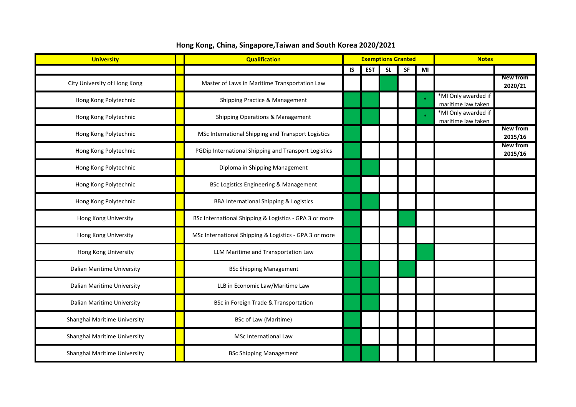| <b>University</b>            | <b>Qualification</b>                                   | <b>Exemptions Granted</b> |            |           |           |    | <b>Notes</b>                              |                            |  |
|------------------------------|--------------------------------------------------------|---------------------------|------------|-----------|-----------|----|-------------------------------------------|----------------------------|--|
|                              |                                                        | <b>IS</b>                 | <b>EST</b> | <b>SL</b> | <b>SF</b> | MI |                                           |                            |  |
| City University of Hong Kong | Master of Laws in Maritime Transportation Law          |                           |            |           |           |    |                                           | <b>New from</b><br>2020/21 |  |
| Hong Kong Polytechnic        | Shipping Practice & Management                         |                           |            |           |           |    | *MI Only awarded if<br>maritime law taken |                            |  |
| Hong Kong Polytechnic        | <b>Shipping Operations &amp; Management</b>            |                           |            |           |           |    | *MI Only awarded if<br>maritime law taken |                            |  |
| Hong Kong Polytechnic        | MSc International Shipping and Transport Logistics     |                           |            |           |           |    |                                           | <b>New from</b><br>2015/16 |  |
| Hong Kong Polytechnic        | PGDip International Shipping and Transport Logistics   |                           |            |           |           |    |                                           | <b>New from</b><br>2015/16 |  |
| Hong Kong Polytechnic        | Diploma in Shipping Management                         |                           |            |           |           |    |                                           |                            |  |
| Hong Kong Polytechnic        | BSc Logistics Engineering & Management                 |                           |            |           |           |    |                                           |                            |  |
| Hong Kong Polytechnic        | BBA International Shipping & Logistics                 |                           |            |           |           |    |                                           |                            |  |
| Hong Kong University         | BSc International Shipping & Logistics - GPA 3 or more |                           |            |           |           |    |                                           |                            |  |
| Hong Kong University         | MSc International Shipping & Logistics - GPA 3 or more |                           |            |           |           |    |                                           |                            |  |
| Hong Kong University         | LLM Maritime and Transportation Law                    |                           |            |           |           |    |                                           |                            |  |
| Dalian Maritime University   | <b>BSc Shipping Management</b>                         |                           |            |           |           |    |                                           |                            |  |
| Dalian Maritime University   | LLB in Economic Law/Maritime Law                       |                           |            |           |           |    |                                           |                            |  |
| Dalian Maritime University   | BSc in Foreign Trade & Transportation                  |                           |            |           |           |    |                                           |                            |  |
| Shanghai Maritime University | <b>BSc of Law (Maritime)</b>                           |                           |            |           |           |    |                                           |                            |  |
| Shanghai Maritime University | <b>MSc International Law</b>                           |                           |            |           |           |    |                                           |                            |  |
| Shanghai Maritime University | <b>BSc Shipping Management</b>                         |                           |            |           |           |    |                                           |                            |  |

## **Hong Kong, China, Singapore,Taiwan and South Korea 2020/2021**